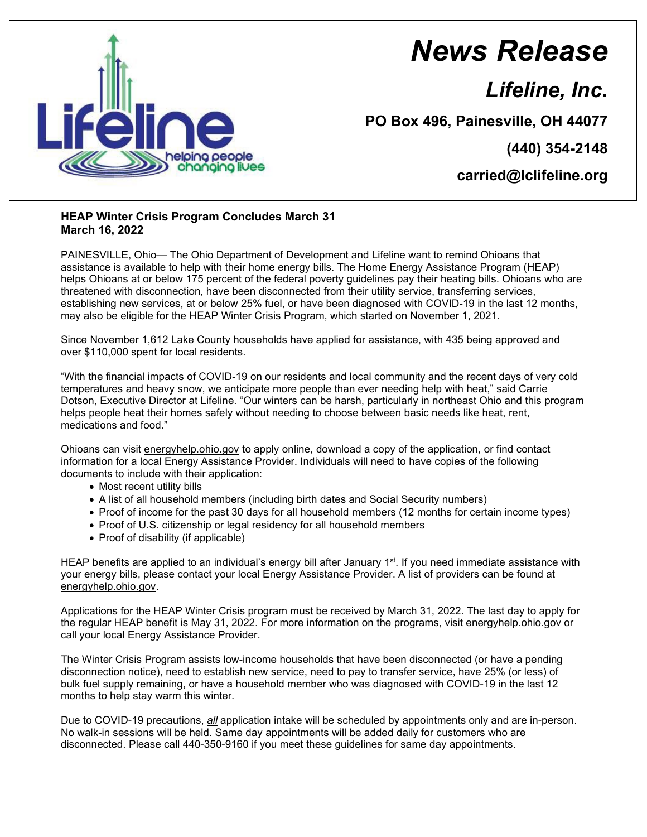

## *News Release*

## *Lifeline, Inc.*

**PO Box 496, Painesville, OH 44077**

**(440) 354-2148**

**carried@lclifeline.org**

## **HEAP Winter Crisis Program Concludes March 31 March 16, 2022**

PAINESVILLE, Ohio— The Ohio Department of Development and Lifeline want to remind Ohioans that assistance is available to help with their home energy bills. The Home Energy Assistance Program (HEAP) helps Ohioans at or below 175 percent of the federal poverty guidelines pay their heating bills. Ohioans who are threatened with disconnection, have been disconnected from their utility service, transferring services, establishing new services, at or below 25% fuel, or have been diagnosed with COVID-19 in the last 12 months, may also be eligible for the HEAP Winter Crisis Program, which started on November 1, 2021.

Since November 1,612 Lake County households have applied for assistance, with 435 being approved and over \$110,000 spent for local residents.

"With the financial impacts of COVID-19 on our residents and local community and the recent days of very cold temperatures and heavy snow, we anticipate more people than ever needing help with heat," said Carrie Dotson, Executive Director at Lifeline. "Our winters can be harsh, particularly in northeast Ohio and this program helps people heat their homes safely without needing to choose between basic needs like heat, rent, medications and food."

Ohioans can visit energyhelp.ohio.gov to apply online, download a copy of the application, or find contact information for a local Energy Assistance Provider. Individuals will need to have copies of the following documents to include with their application:

- Most recent utility bills
- A list of all household members (including birth dates and Social Security numbers)
- Proof of income for the past 30 days for all household members (12 months for certain income types)
- Proof of U.S. citizenship or legal residency for all household members
- Proof of disability (if applicable)

HEAP benefits are applied to an individual's energy bill after January 1<sup>st</sup>. If you need immediate assistance with your energy bills, please contact your local Energy Assistance Provider. A list of providers can be found at energyhelp.ohio.gov.

Applications for the HEAP Winter Crisis program must be received by March 31, 2022. The last day to apply for the regular HEAP benefit is May 31, 2022. For more information on the programs, visit energyhelp.ohio.gov or call your local Energy Assistance Provider.

The Winter Crisis Program assists low-income households that have been disconnected (or have a pending disconnection notice), need to establish new service, need to pay to transfer service, have 25% (or less) of bulk fuel supply remaining, or have a household member who was diagnosed with COVID-19 in the last 12 months to help stay warm this winter.

Due to COVID-19 precautions, *all* application intake will be scheduled by appointments only and are in-person. No walk-in sessions will be held. Same day appointments will be added daily for customers who are disconnected. Please call 440-350-9160 if you meet these guidelines for same day appointments.